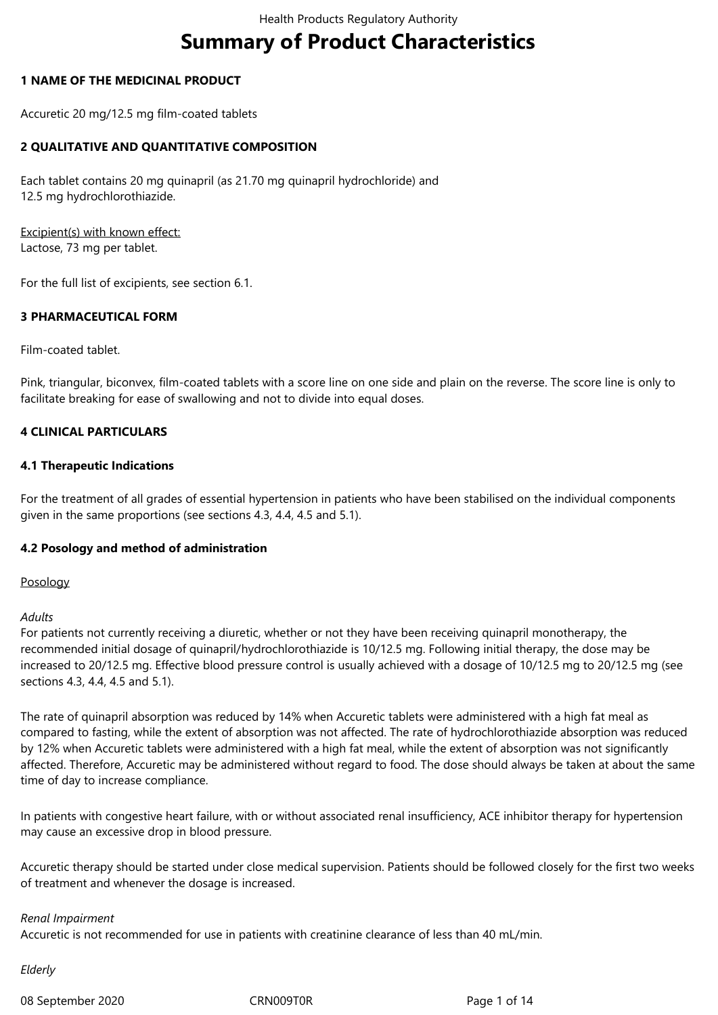# **Summary of Product Characteristics**

### **1 NAME OF THE MEDICINAL PRODUCT**

Accuretic 20 mg/12.5 mg film-coated tablets

# **2 QUALITATIVE AND QUANTITATIVE COMPOSITION**

Each tablet contains 20 mg quinapril (as 21.70 mg quinapril hydrochloride) and 12.5 mg hydrochlorothiazide.

Excipient(s) with known effect: Lactose, 73 mg per tablet.

For the full list of excipients, see section 6.1.

### **3 PHARMACEUTICAL FORM**

Film-coated tablet.

Pink, triangular, biconvex, film-coated tablets with a score line on one side and plain on the reverse. The score line is only to facilitate breaking for ease of swallowing and not to divide into equal doses.

### **4 CLINICAL PARTICULARS**

#### **4.1 Therapeutic Indications**

For the treatment of all grades of essential hypertension in patients who have been stabilised on the individual components given in the same proportions (see sections 4.3, 4.4, 4.5 and 5.1).

#### **4.2 Posology and method of administration**

#### Posology

#### *Adults*

For patients not currently receiving a diuretic, whether or not they have been receiving quinapril monotherapy, the recommended initial dosage of quinapril/hydrochlorothiazide is 10/12.5 mg. Following initial therapy, the dose may be increased to 20/12.5 mg. Effective blood pressure control is usually achieved with a dosage of 10/12.5 mg to 20/12.5 mg (see sections 4.3, 4.4, 4.5 and 5.1).

The rate of quinapril absorption was reduced by 14% when Accuretic tablets were administered with a high fat meal as compared to fasting, while the extent of absorption was not affected. The rate of hydrochlorothiazide absorption was reduced by 12% when Accuretic tablets were administered with a high fat meal, while the extent of absorption was not significantly affected. Therefore, Accuretic may be administered without regard to food. The dose should always be taken at about the same time of day to increase compliance.

In patients with congestive heart failure, with or without associated renal insufficiency, ACE inhibitor therapy for hypertension may cause an excessive drop in blood pressure.

Accuretic therapy should be started under close medical supervision. Patients should be followed closely for the first two weeks of treatment and whenever the dosage is increased.

#### *Renal Impairment*

Accuretic is not recommended for use in patients with creatinine clearance of less than 40 mL/min.

*Elderly*

08 September 2020 CRN009T0R CRN009T0R Page 1 of 14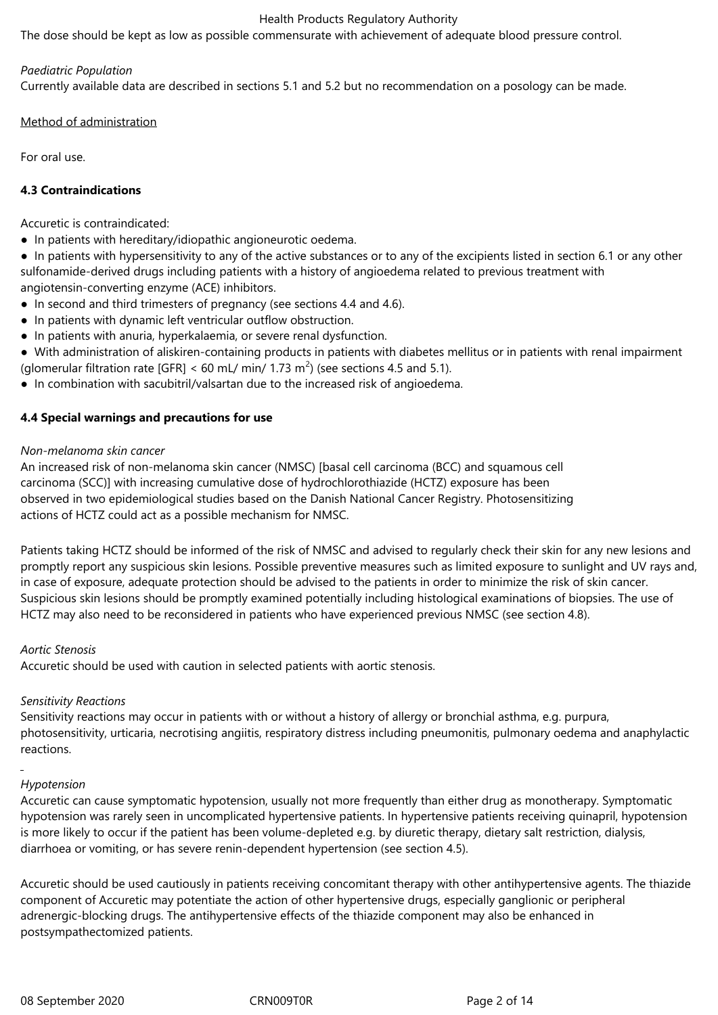The dose should be kept as low as possible commensurate with achievement of adequate blood pressure control.

#### *Paediatric Population*

Currently available data are described in sections 5.1 and 5.2 but no recommendation on a posology can be made.

Method of administration

For oral use.

### **4.3 Contraindications**

Accuretic is contraindicated:

- In patients with hereditary/idiopathic angioneurotic oedema.
- In patients with hypersensitivity to any of the active substances or to any of the excipients listed in section 6.1 or any other sulfonamide-derived drugs including patients with a history of angioedema related to previous treatment with angiotensin-converting enzyme (ACE) inhibitors.
- In second and third trimesters of pregnancy (see sections 4.4 and 4.6).
- In patients with dynamic left ventricular outflow obstruction.
- In patients with anuria, hyperkalaemia, or severe renal dysfunction.
- With administration of aliskiren-containing products in patients with diabetes mellitus or in patients with renal impairment (glomerular filtration rate [GFR] < 60 mL/ min/ 1.73 m<sup>2</sup>) (see sections 4.5 and 5.1).
- In combination with sacubitril/valsartan due to the increased risk of angioedema.

### **4.4 Special warnings and precautions for use**

#### *Non-melanoma skin cancer*

An increased risk of non-melanoma skin cancer (NMSC) [basal cell carcinoma (BCC) and squamous cell carcinoma (SCC)] with increasing cumulative dose of hydrochlorothiazide (HCTZ) exposure has been observed in two epidemiological studies based on the Danish National Cancer Registry. Photosensitizing actions of HCTZ could act as a possible mechanism for NMSC.

Patients taking HCTZ should be informed of the risk of NMSC and advised to regularly check their skin for any new lesions and promptly report any suspicious skin lesions. Possible preventive measures such as limited exposure to sunlight and UV rays and, in case of exposure, adequate protection should be advised to the patients in order to minimize the risk of skin cancer. Suspicious skin lesions should be promptly examined potentially including histological examinations of biopsies. The use of HCTZ may also need to be reconsidered in patients who have experienced previous NMSC (see section 4.8).

#### *Aortic Stenosis*

Accuretic should be used with caution in selected patients with aortic stenosis.

# *Sensitivity Reactions*

Sensitivity reactions may occur in patients with or without a history of allergy or bronchial asthma, e.g. purpura, photosensitivity, urticaria, necrotising angiitis, respiratory distress including pneumonitis, pulmonary oedema and anaphylactic reactions.

# *Hypotension*

Accuretic can cause symptomatic hypotension, usually not more frequently than either drug as monotherapy. Symptomatic hypotension was rarely seen in uncomplicated hypertensive patients. In hypertensive patients receiving quinapril, hypotension is more likely to occur if the patient has been volume-depleted e.g. by diuretic therapy, dietary salt restriction, dialysis, diarrhoea or vomiting, or has severe renin-dependent hypertension (see section 4.5).

Accuretic should be used cautiously in patients receiving concomitant therapy with other antihypertensive agents. The thiazide component of Accuretic may potentiate the action of other hypertensive drugs, especially ganglionic or peripheral adrenergic-blocking drugs. The antihypertensive effects of the thiazide component may also be enhanced in postsympathectomized patients.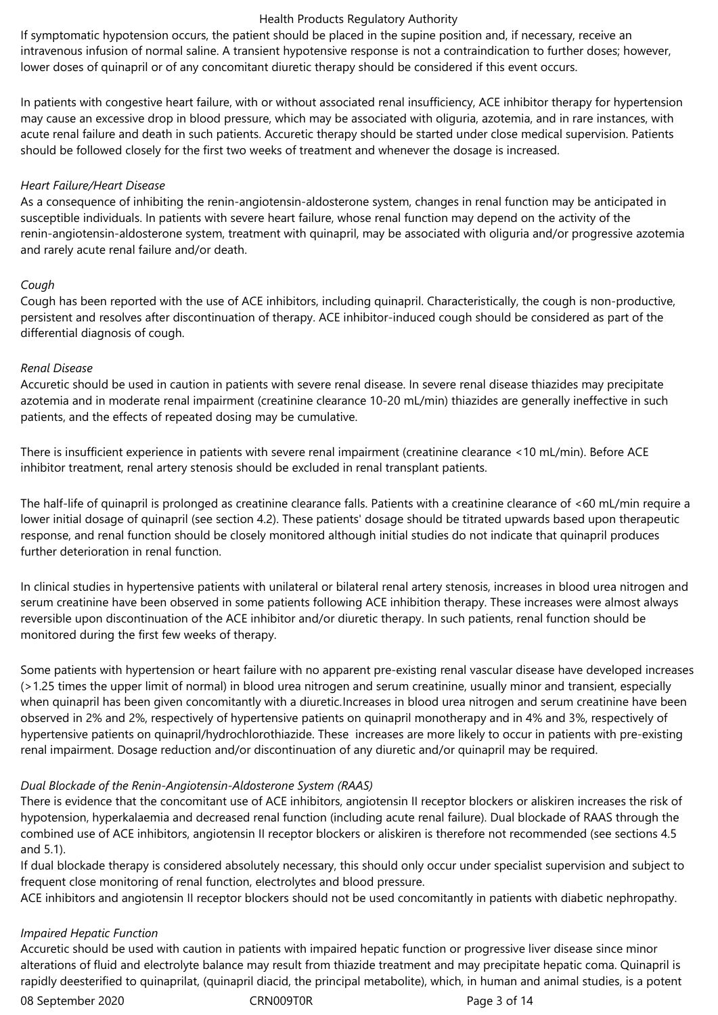If symptomatic hypotension occurs, the patient should be placed in the supine position and, if necessary, receive an intravenous infusion of normal saline. A transient hypotensive response is not a contraindication to further doses; however, lower doses of quinapril or of any concomitant diuretic therapy should be considered if this event occurs.

In patients with congestive heart failure, with or without associated renal insufficiency, ACE inhibitor therapy for hypertension may cause an excessive drop in blood pressure, which may be associated with oliguria, azotemia, and in rare instances, with acute renal failure and death in such patients. Accuretic therapy should be started under close medical supervision. Patients should be followed closely for the first two weeks of treatment and whenever the dosage is increased.

#### *Heart Failure/Heart Disease*

As a consequence of inhibiting the renin-angiotensin-aldosterone system, changes in renal function may be anticipated in susceptible individuals. In patients with severe heart failure, whose renal function may depend on the activity of the renin-angiotensin-aldosterone system, treatment with quinapril, may be associated with oliguria and/or progressive azotemia and rarely acute renal failure and/or death.

### *Cough*

Cough has been reported with the use of ACE inhibitors, including quinapril. Characteristically, the cough is non-productive, persistent and resolves after discontinuation of therapy. ACE inhibitor-induced cough should be considered as part of the differential diagnosis of cough.

### *Renal Disease*

Accuretic should be used in caution in patients with severe renal disease. In severe renal disease thiazides may precipitate azotemia and in moderate renal impairment (creatinine clearance 10-20 mL/min) thiazides are generally ineffective in such patients, and the effects of repeated dosing may be cumulative.

There is insufficient experience in patients with severe renal impairment (creatinine clearance <10 mL/min). Before ACE inhibitor treatment, renal artery stenosis should be excluded in renal transplant patients.

The half-life of quinapril is prolonged as creatinine clearance falls. Patients with a creatinine clearance of <60 mL/min require a lower initial dosage of quinapril (see section 4.2). These patients' dosage should be titrated upwards based upon therapeutic response, and renal function should be closely monitored although initial studies do not indicate that quinapril produces further deterioration in renal function.

In clinical studies in hypertensive patients with unilateral or bilateral renal artery stenosis, increases in blood urea nitrogen and serum creatinine have been observed in some patients following ACE inhibition therapy. These increases were almost always reversible upon discontinuation of the ACE inhibitor and/or diuretic therapy. In such patients, renal function should be monitored during the first few weeks of therapy.

Some patients with hypertension or heart failure with no apparent pre-existing renal vascular disease have developed increases (>1.25 times the upper limit of normal) in blood urea nitrogen and serum creatinine, usually minor and transient, especially when quinapril has been given concomitantly with a diuretic.Increases in blood urea nitrogen and serum creatinine have been observed in 2% and 2%, respectively of hypertensive patients on quinapril monotherapy and in 4% and 3%, respectively of hypertensive patients on quinapril/hydrochlorothiazide. These increases are more likely to occur in patients with pre-existing renal impairment. Dosage reduction and/or discontinuation of any diuretic and/or quinapril may be required.

# *Dual Blockade of the Renin-Angiotensin-Aldosterone System (RAAS)*

There is evidence that the concomitant use of ACE inhibitors, angiotensin II receptor blockers or aliskiren increases the risk of hypotension, hyperkalaemia and decreased renal function (including acute renal failure). Dual blockade of RAAS through the combined use of ACE inhibitors, angiotensin II receptor blockers or aliskiren is therefore not recommended (see sections 4.5 and 5.1).

If dual blockade therapy is considered absolutely necessary, this should only occur under specialist supervision and subject to frequent close monitoring of renal function, electrolytes and blood pressure.

ACE inhibitors and angiotensin II receptor blockers should not be used concomitantly in patients with diabetic nephropathy.

# *Impaired Hepatic Function*

Accuretic should be used with caution in patients with impaired hepatic function or progressive liver disease since minor alterations of fluid and electrolyte balance may result from thiazide treatment and may precipitate hepatic coma. Quinapril is rapidly deesterified to quinaprilat, (quinapril diacid, the principal metabolite), which, in human and animal studies, is a potent

08 September 2020 CRN009T0R CRN009T0R Page 3 of 14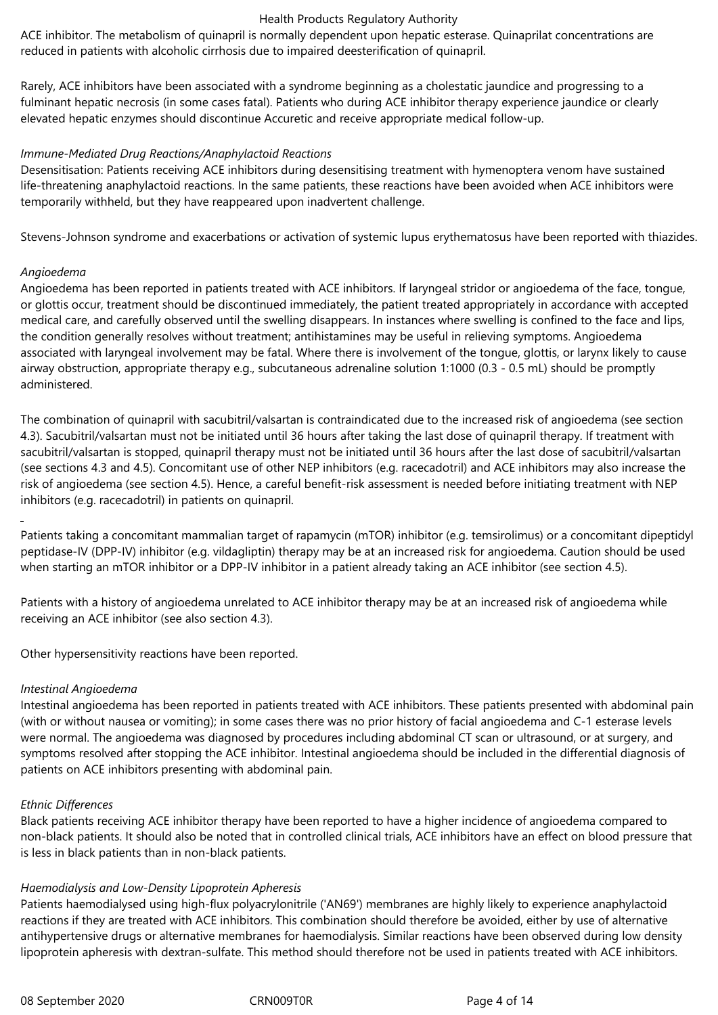ACE inhibitor. The metabolism of quinapril is normally dependent upon hepatic esterase. Quinaprilat concentrations are reduced in patients with alcoholic cirrhosis due to impaired deesterification of quinapril.

Rarely, ACE inhibitors have been associated with a syndrome beginning as a cholestatic jaundice and progressing to a fulminant hepatic necrosis (in some cases fatal). Patients who during ACE inhibitor therapy experience jaundice or clearly elevated hepatic enzymes should discontinue Accuretic and receive appropriate medical follow-up.

#### *Immune-Mediated Drug Reactions/Anaphylactoid Reactions*

Desensitisation: Patients receiving ACE inhibitors during desensitising treatment with hymenoptera venom have sustained life-threatening anaphylactoid reactions. In the same patients, these reactions have been avoided when ACE inhibitors were temporarily withheld, but they have reappeared upon inadvertent challenge.

Stevens-Johnson syndrome and exacerbations or activation of systemic lupus erythematosus have been reported with thiazides.

#### *Angioedema*

Angioedema has been reported in patients treated with ACE inhibitors. If laryngeal stridor or angioedema of the face, tongue, or glottis occur, treatment should be discontinued immediately, the patient treated appropriately in accordance with accepted medical care, and carefully observed until the swelling disappears. In instances where swelling is confined to the face and lips, the condition generally resolves without treatment; antihistamines may be useful in relieving symptoms. Angioedema associated with laryngeal involvement may be fatal. Where there is involvement of the tongue, glottis, or larynx likely to cause airway obstruction, appropriate therapy e.g., subcutaneous adrenaline solution 1:1000 (0.3 - 0.5 mL) should be promptly administered.

The combination of quinapril with sacubitril/valsartan is contraindicated due to the increased risk of angioedema (see section 4.3). Sacubitril/valsartan must not be initiated until 36 hours after taking the last dose of quinapril therapy. If treatment with sacubitril/valsartan is stopped, quinapril therapy must not be initiated until 36 hours after the last dose of sacubitril/valsartan (see sections 4.3 and 4.5). Concomitant use of other NEP inhibitors (e.g. racecadotril) and ACE inhibitors may also increase the risk of angioedema (see section 4.5). Hence, a careful benefit-risk assessment is needed before initiating treatment with NEP inhibitors (e.g. racecadotril) in patients on quinapril.

Patients taking a concomitant mammalian target of rapamycin (mTOR) inhibitor (e.g. temsirolimus) or a concomitant dipeptidyl peptidase-IV (DPP-IV) inhibitor (e.g. vildagliptin) therapy may be at an increased risk for angioedema. Caution should be used when starting an mTOR inhibitor or a DPP-IV inhibitor in a patient already taking an ACE inhibitor (see section 4.5).

Patients with a history of angioedema unrelated to ACE inhibitor therapy may be at an increased risk of angioedema while receiving an ACE inhibitor (see also section 4.3).

Other hypersensitivity reactions have been reported.

#### *Intestinal Angioedema*

Intestinal angioedema has been reported in patients treated with ACE inhibitors. These patients presented with abdominal pain (with or without nausea or vomiting); in some cases there was no prior history of facial angioedema and C-1 esterase levels were normal. The angioedema was diagnosed by procedures including abdominal CT scan or ultrasound, or at surgery, and symptoms resolved after stopping the ACE inhibitor. Intestinal angioedema should be included in the differential diagnosis of patients on ACE inhibitors presenting with abdominal pain.

#### *Ethnic Differences*

Black patients receiving ACE inhibitor therapy have been reported to have a higher incidence of angioedema compared to non-black patients. It should also be noted that in controlled clinical trials, ACE inhibitors have an effect on blood pressure that is less in black patients than in non-black patients.

#### *Haemodialysis and Low-Density Lipoprotein Apheresis*

Patients haemodialysed using high-flux polyacrylonitrile ('AN69') membranes are highly likely to experience anaphylactoid reactions if they are treated with ACE inhibitors. This combination should therefore be avoided, either by use of alternative antihypertensive drugs or alternative membranes for haemodialysis. Similar reactions have been observed during low density lipoprotein apheresis with dextran-sulfate. This method should therefore not be used in patients treated with ACE inhibitors.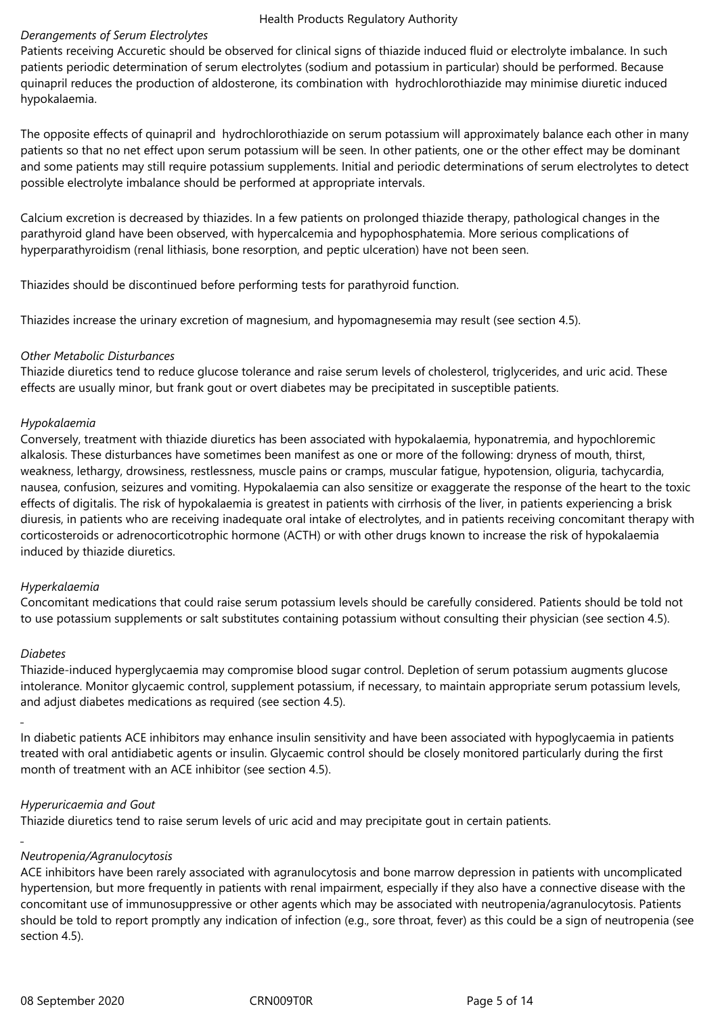#### *Derangements of Serum Electrolytes*

Patients receiving Accuretic should be observed for clinical signs of thiazide induced fluid or electrolyte imbalance. In such patients periodic determination of serum electrolytes (sodium and potassium in particular) should be performed. Because quinapril reduces the production of aldosterone, its combination with hydrochlorothiazide may minimise diuretic induced hypokalaemia.

The opposite effects of quinapril and hydrochlorothiazide on serum potassium will approximately balance each other in many patients so that no net effect upon serum potassium will be seen. In other patients, one or the other effect may be dominant and some patients may still require potassium supplements. Initial and periodic determinations of serum electrolytes to detect possible electrolyte imbalance should be performed at appropriate intervals.

Calcium excretion is decreased by thiazides. In a few patients on prolonged thiazide therapy, pathological changes in the parathyroid gland have been observed, with hypercalcemia and hypophosphatemia. More serious complications of hyperparathyroidism (renal lithiasis, bone resorption, and peptic ulceration) have not been seen.

Thiazides should be discontinued before performing tests for parathyroid function.

Thiazides increase the urinary excretion of magnesium, and hypomagnesemia may result (see section 4.5).

### *Other Metabolic Disturbances*

Thiazide diuretics tend to reduce glucose tolerance and raise serum levels of cholesterol, triglycerides, and uric acid. These effects are usually minor, but frank gout or overt diabetes may be precipitated in susceptible patients.

### *Hypokalaemia*

Conversely, treatment with thiazide diuretics has been associated with hypokalaemia, hyponatremia, and hypochloremic alkalosis. These disturbances have sometimes been manifest as one or more of the following: dryness of mouth, thirst, weakness, lethargy, drowsiness, restlessness, muscle pains or cramps, muscular fatigue, hypotension, oliguria, tachycardia, nausea, confusion, seizures and vomiting. Hypokalaemia can also sensitize or exaggerate the response of the heart to the toxic effects of digitalis. The risk of hypokalaemia is greatest in patients with cirrhosis of the liver, in patients experiencing a brisk diuresis, in patients who are receiving inadequate oral intake of electrolytes, and in patients receiving concomitant therapy with corticosteroids or adrenocorticotrophic hormone (ACTH) or with other drugs known to increase the risk of hypokalaemia induced by thiazide diuretics.

#### *Hyperkalaemia*

Concomitant medications that could raise serum potassium levels should be carefully considered. Patients should be told not to use potassium supplements or salt substitutes containing potassium without consulting their physician (see section 4.5).

#### *Diabetes*

Thiazide-induced hyperglycaemia may compromise blood sugar control. Depletion of serum potassium augments glucose intolerance. Monitor glycaemic control, supplement potassium, if necessary, to maintain appropriate serum potassium levels, and adjust diabetes medications as required (see section 4.5).

In diabetic patients ACE inhibitors may enhance insulin sensitivity and have been associated with hypoglycaemia in patients treated with oral antidiabetic agents or insulin. Glycaemic control should be closely monitored particularly during the first month of treatment with an ACE inhibitor (see section 4.5).

# *Hyperuricaemia and Gout*

Thiazide diuretics tend to raise serum levels of uric acid and may precipitate gout in certain patients.

# *Neutropenia/Agranulocytosis*

ACE inhibitors have been rarely associated with agranulocytosis and bone marrow depression in patients with uncomplicated hypertension, but more frequently in patients with renal impairment, especially if they also have a connective disease with the concomitant use of immunosuppressive or other agents which may be associated with neutropenia/agranulocytosis. Patients should be told to report promptly any indication of infection (e.g., sore throat, fever) as this could be a sign of neutropenia (see section 4.5).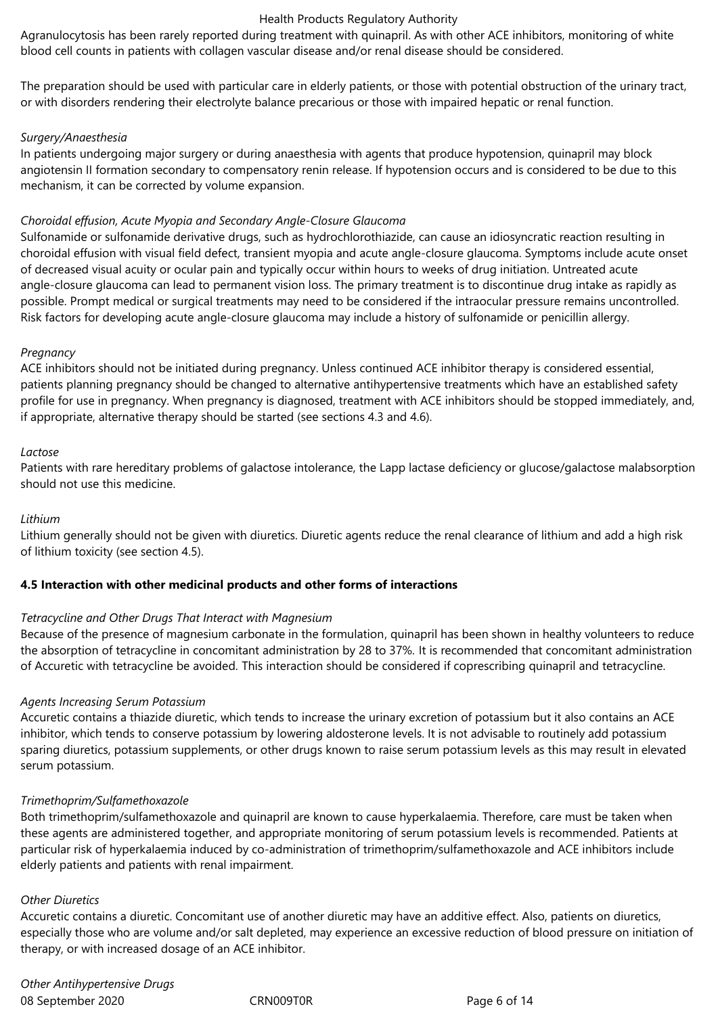Agranulocytosis has been rarely reported during treatment with quinapril. As with other ACE inhibitors, monitoring of white blood cell counts in patients with collagen vascular disease and/or renal disease should be considered.

The preparation should be used with particular care in elderly patients, or those with potential obstruction of the urinary tract, or with disorders rendering their electrolyte balance precarious or those with impaired hepatic or renal function.

#### *Surgery/Anaesthesia*

In patients undergoing major surgery or during anaesthesia with agents that produce hypotension, quinapril may block angiotensin II formation secondary to compensatory renin release. If hypotension occurs and is considered to be due to this mechanism, it can be corrected by volume expansion.

# *Choroidal effusion, Acute Myopia and Secondary Angle-Closure Glaucoma*

Sulfonamide or sulfonamide derivative drugs, such as hydrochlorothiazide, can cause an idiosyncratic reaction resulting in choroidal effusion with visual field defect*,* transient myopia and acute angle-closure glaucoma. Symptoms include acute onset of decreased visual acuity or ocular pain and typically occur within hours to weeks of drug initiation. Untreated acute angle-closure glaucoma can lead to permanent vision loss. The primary treatment is to discontinue drug intake as rapidly as possible. Prompt medical or surgical treatments may need to be considered if the intraocular pressure remains uncontrolled. Risk factors for developing acute angle-closure glaucoma may include a history of sulfonamide or penicillin allergy.

### *Pregnancy*

ACE inhibitors should not be initiated during pregnancy. Unless continued ACE inhibitor therapy is considered essential, patients planning pregnancy should be changed to alternative antihypertensive treatments which have an established safety profile for use in pregnancy. When pregnancy is diagnosed, treatment with ACE inhibitors should be stopped immediately, and, if appropriate, alternative therapy should be started (see sections 4.3 and 4.6).

### *Lactose*

Patients with rare hereditary problems of galactose intolerance, the Lapp lactase deficiency or glucose/galactose malabsorption should not use this medicine.

# *Lithium*

Lithium generally should not be given with diuretics. Diuretic agents reduce the renal clearance of lithium and add a high risk of lithium toxicity (see section 4.5).

# **4.5 Interaction with other medicinal products and other forms of interactions**

#### *Tetracycline and Other Drugs That Interact with Magnesium*

Because of the presence of magnesium carbonate in the formulation, quinapril has been shown in healthy volunteers to reduce the absorption of tetracycline in concomitant administration by 28 to 37%. It is recommended that concomitant administration of Accuretic with tetracycline be avoided. This interaction should be considered if coprescribing quinapril and tetracycline.

# *Agents Increasing Serum Potassium*

Accuretic contains a thiazide diuretic, which tends to increase the urinary excretion of potassium but it also contains an ACE inhibitor, which tends to conserve potassium by lowering aldosterone levels. It is not advisable to routinely add potassium sparing diuretics, potassium supplements, or other drugs known to raise serum potassium levels as this may result in elevated serum potassium.

#### *Trimethoprim/Sulfamethoxazole*

Both trimethoprim/sulfamethoxazole and quinapril are known to cause hyperkalaemia. Therefore, care must be taken when these agents are administered together, and appropriate monitoring of serum potassium levels is recommended. Patients at particular risk of hyperkalaemia induced by co-administration of trimethoprim/sulfamethoxazole and ACE inhibitors include elderly patients and patients with renal impairment.

#### *Other Diuretics*

Accuretic contains a diuretic. Concomitant use of another diuretic may have an additive effect. Also, patients on diuretics, especially those who are volume and/or salt depleted, may experience an excessive reduction of blood pressure on initiation of therapy, or with increased dosage of an ACE inhibitor.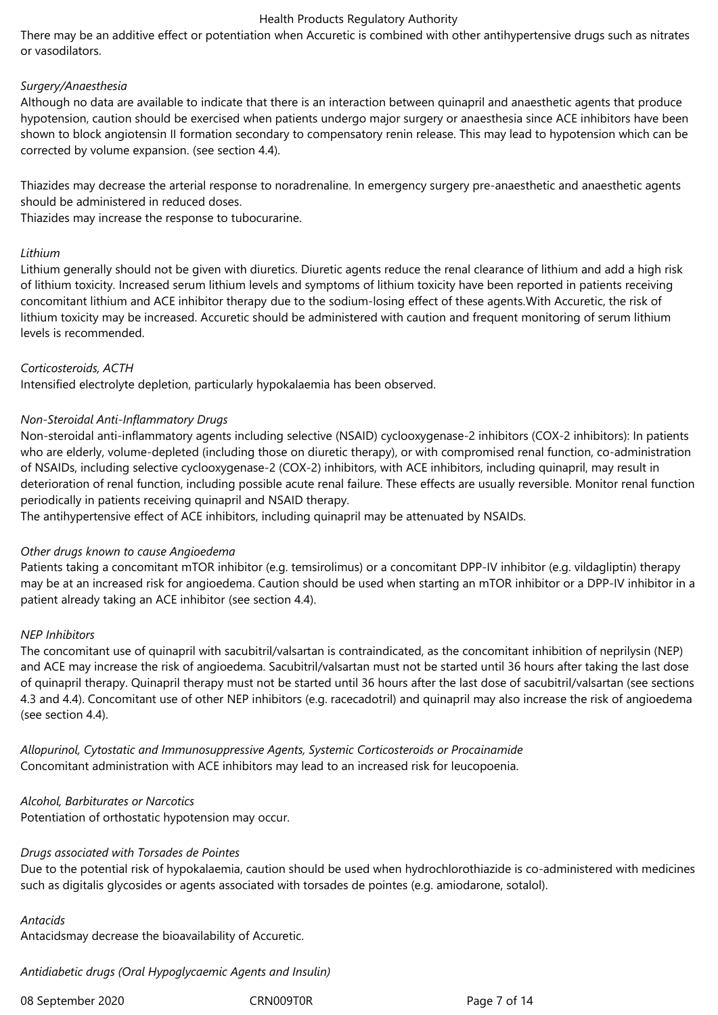There may be an additive effect or potentiation when Accuretic is combined with other antihypertensive drugs such as nitrates or vasodilators.

#### *Surgery/Anaesthesia*

Although no data are available to indicate that there is an interaction between quinapril and anaesthetic agents that produce hypotension, caution should be exercised when patients undergo major surgery or anaesthesia since ACE inhibitors have been shown to block angiotensin II formation secondary to compensatory renin release. This may lead to hypotension which can be corrected by volume expansion. (see section 4.4).

Thiazides may decrease the arterial response to noradrenaline. In emergency surgery pre-anaesthetic and anaesthetic agents should be administered in reduced doses.

Thiazides may increase the response to tubocurarine.

#### *Lithium*

Lithium generally should not be given with diuretics. Diuretic agents reduce the renal clearance of lithium and add a high risk of lithium toxicity. Increased serum lithium levels and symptoms of lithium toxicity have been reported in patients receiving concomitant lithium and ACE inhibitor therapy due to the sodium-losing effect of these agents.With Accuretic, the risk of lithium toxicity may be increased. Accuretic should be administered with caution and frequent monitoring of serum lithium levels is recommended.

### *Corticosteroids, ACTH*

Intensified electrolyte depletion, particularly hypokalaemia has been observed.

### *Non-Steroidal Anti-Inflammatory Drugs*

Non-steroidal anti-inflammatory agents including selective (NSAID) cyclooxygenase-2 inhibitors (COX-2 inhibitors): In patients who are elderly, volume-depleted (including those on diuretic therapy), or with compromised renal function, co-administration of NSAIDs, including selective cyclooxygenase-2 (COX-2) inhibitors, with ACE inhibitors, including quinapril, may result in deterioration of renal function, including possible acute renal failure. These effects are usually reversible. Monitor renal function periodically in patients receiving quinapril and NSAID therapy.

The antihypertensive effect of ACE inhibitors, including quinapril may be attenuated by NSAIDs.

#### *Other drugs known to cause Angioedema*

Patients taking a concomitant mTOR inhibitor (e.g. temsirolimus) or a concomitant DPP-IV inhibitor (e.g. vildagliptin) therapy may be at an increased risk for angioedema. Caution should be used when starting an mTOR inhibitor or a DPP-IV inhibitor in a patient already taking an ACE inhibitor (see section 4.4).

#### *NEP Inhibitors*

The concomitant use of quinapril with sacubitril/valsartan is contraindicated, as the concomitant inhibition of neprilysin (NEP) and ACE may increase the risk of angioedema. Sacubitril/valsartan must not be started until 36 hours after taking the last dose of quinapril therapy. Quinapril therapy must not be started until 36 hours after the last dose of sacubitril/valsartan (see sections 4.3 and 4.4). Concomitant use of other NEP inhibitors (e.g. racecadotril) and quinapril may also increase the risk of angioedema (see section 4.4).

*Allopurinol, Cytostatic and Immunosuppressive Agents, Systemic Corticosteroids or Procainamide*  Concomitant administration with ACE inhibitors may lead to an increased risk for leucopoenia.

#### *Alcohol, Barbiturates or Narcotics*

Potentiation of orthostatic hypotension may occur.

#### *Drugs associated with Torsades de Pointes*

Due to the potential risk of hypokalaemia, caution should be used when hydrochlorothiazide is co-administered with medicines such as digitalis glycosides or agents associated with torsades de pointes (e.g. amiodarone, sotalol).

#### *Antacids*

Antacidsmay decrease the bioavailability of Accuretic.

*Antidiabetic drugs (Oral Hypoglycaemic Agents and Insulin)*

08 September 2020 CRN009T0R CRN009T0R Page 7 of 14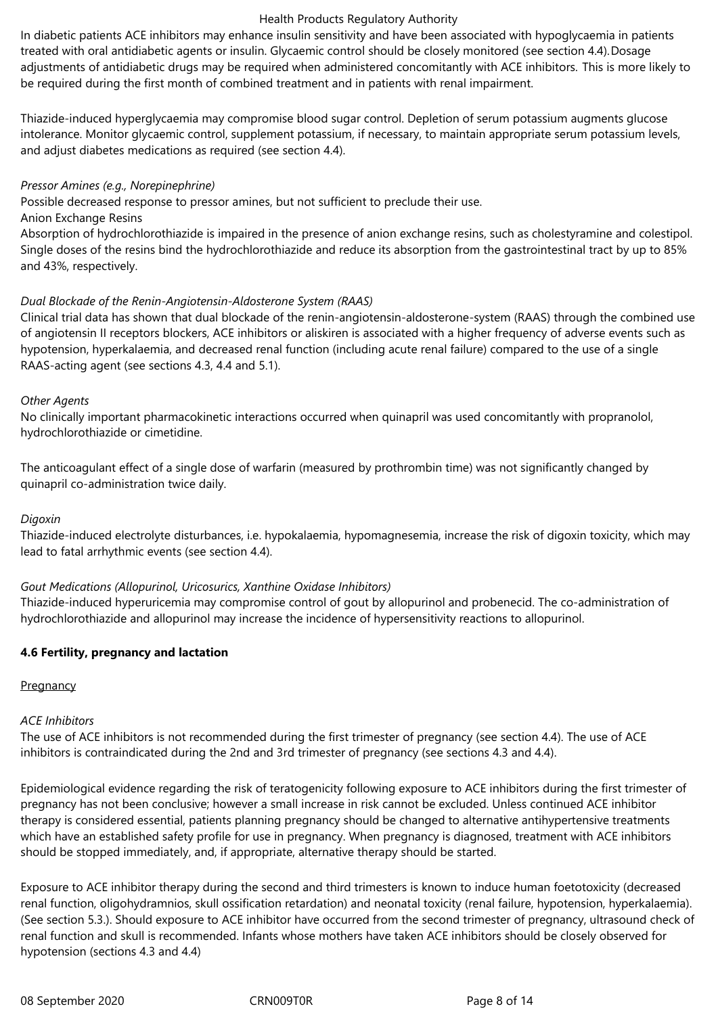In diabetic patients ACE inhibitors may enhance insulin sensitivity and have been associated with hypoglycaemia in patients treated with oral antidiabetic agents or insulin. Glycaemic control should be closely monitored (see section 4.4).Dosage adjustments of antidiabetic drugs may be required when administered concomitantly with ACE inhibitors. This is more likely to be required during the first month of combined treatment and in patients with renal impairment.

Thiazide-induced hyperglycaemia may compromise blood sugar control. Depletion of serum potassium augments glucose intolerance. Monitor glycaemic control, supplement potassium, if necessary, to maintain appropriate serum potassium levels, and adjust diabetes medications as required (see section 4.4).

#### *Pressor Amines (e.g., Norepinephrine)*

Possible decreased response to pressor amines, but not sufficient to preclude their use.

Anion Exchange Resins

Absorption of hydrochlorothiazide is impaired in the presence of anion exchange resins, such as cholestyramine and colestipol. Single doses of the resins bind the hydrochlorothiazide and reduce its absorption from the gastrointestinal tract by up to 85% and 43%, respectively.

#### *Dual Blockade of the Renin-Angiotensin-Aldosterone System (RAAS)*

Clinical trial data has shown that dual blockade of the renin-angiotensin-aldosterone-system (RAAS) through the combined use of angiotensin II receptors blockers, ACE inhibitors or aliskiren is associated with a higher frequency of adverse events such as hypotension, hyperkalaemia, and decreased renal function (including acute renal failure) compared to the use of a single RAAS-acting agent (see sections 4.3, 4.4 and 5.1).

#### *Other Agents*

No clinically important pharmacokinetic interactions occurred when quinapril was used concomitantly with propranolol, hydrochlorothiazide or cimetidine.

The anticoagulant effect of a single dose of warfarin (measured by prothrombin time) was not significantly changed by quinapril co-administration twice daily.

#### *Digoxin*

Thiazide-induced electrolyte disturbances, i.e. hypokalaemia, hypomagnesemia, increase the risk of digoxin toxicity, which may lead to fatal arrhythmic events (see section 4.4).

#### *Gout Medications (Allopurinol, Uricosurics, Xanthine Oxidase Inhibitors)*

Thiazide-induced hyperuricemia may compromise control of gout by allopurinol and probenecid. The co-administration of hydrochlorothiazide and allopurinol may increase the incidence of hypersensitivity reactions to allopurinol.

#### **4.6 Fertility, pregnancy and lactation**

#### **Pregnancy**

#### *ACE Inhibitors*

The use of ACE inhibitors is not recommended during the first trimester of pregnancy (see section 4.4). The use of ACE inhibitors is contraindicated during the 2nd and 3rd trimester of pregnancy (see sections 4.3 and 4.4).

Epidemiological evidence regarding the risk of teratogenicity following exposure to ACE inhibitors during the first trimester of pregnancy has not been conclusive; however a small increase in risk cannot be excluded. Unless continued ACE inhibitor therapy is considered essential, patients planning pregnancy should be changed to alternative antihypertensive treatments which have an established safety profile for use in pregnancy. When pregnancy is diagnosed, treatment with ACE inhibitors should be stopped immediately, and, if appropriate, alternative therapy should be started.

Exposure to ACE inhibitor therapy during the second and third trimesters is known to induce human foetotoxicity (decreased renal function, oligohydramnios, skull ossification retardation) and neonatal toxicity (renal failure, hypotension, hyperkalaemia). (See section 5.3.). Should exposure to ACE inhibitor have occurred from the second trimester of pregnancy, ultrasound check of renal function and skull is recommended. Infants whose mothers have taken ACE inhibitors should be closely observed for hypotension (sections 4.3 and 4.4)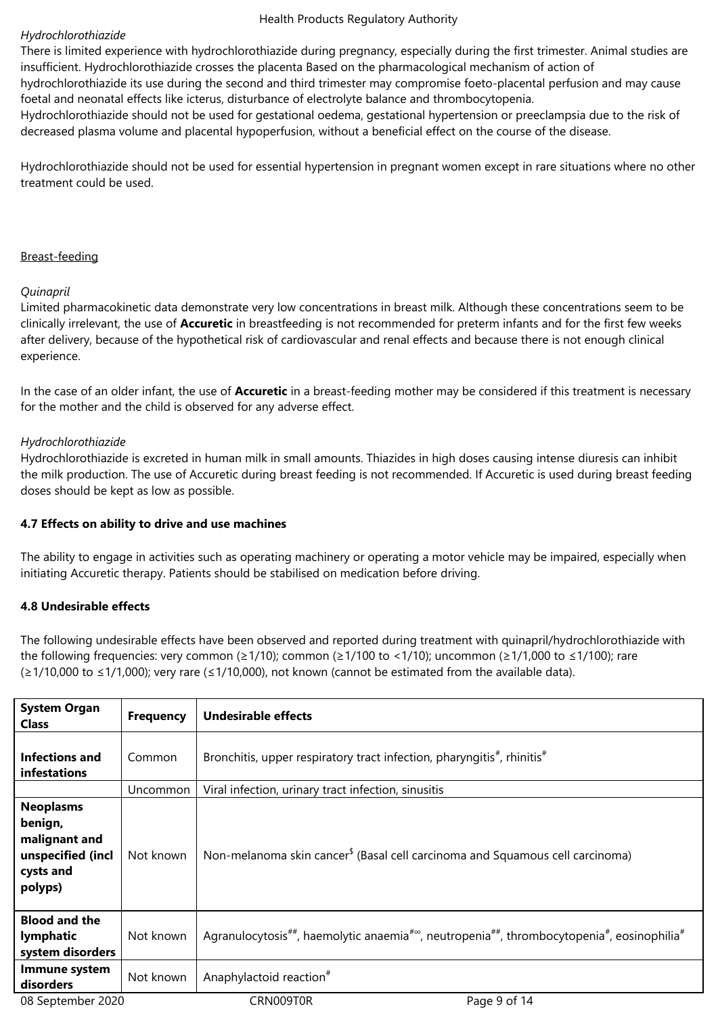#### *Hydrochlorothiazide*

There is limited experience with hydrochlorothiazide during pregnancy, especially during the first trimester. Animal studies are insufficient. Hydrochlorothiazide crosses the placenta Based on the pharmacological mechanism of action of

hydrochlorothiazide its use during the second and third trimester may compromise foeto-placental perfusion and may cause foetal and neonatal effects like icterus, disturbance of electrolyte balance and thrombocytopenia.

Hydrochlorothiazide should not be used for gestational oedema, gestational hypertension or preeclampsia due to the risk of decreased plasma volume and placental hypoperfusion, without a beneficial effect on the course of the disease.

Hydrochlorothiazide should not be used for essential hypertension in pregnant women except in rare situations where no other treatment could be used.

#### Breast-feeding

### *Quinapril*

Limited pharmacokinetic data demonstrate very low concentrations in breast milk. Although these concentrations seem to be clinically irrelevant, the use of **Accuretic** in breastfeeding is not recommended for preterm infants and for the first few weeks after delivery, because of the hypothetical risk of cardiovascular and renal effects and because there is not enough clinical experience.

In the case of an older infant, the use of **Accuretic** in a breast-feeding mother may be considered if this treatment is necessary for the mother and the child is observed for any adverse effect.

### *Hydrochlorothiazide*

Hydrochlorothiazide is excreted in human milk in small amounts. Thiazides in high doses causing intense diuresis can inhibit the milk production. The use of Accuretic during breast feeding is not recommended. If Accuretic is used during breast feeding doses should be kept as low as possible.

#### **4.7 Effects on ability to drive and use machines**

The ability to engage in activities such as operating machinery or operating a motor vehicle may be impaired, especially when initiating Accuretic therapy. Patients should be stabilised on medication before driving.

#### **4.8 Undesirable effects**

The following undesirable effects have been observed and reported during treatment with quinapril/hydrochlorothiazide with the following frequencies: very common (≥1/10); common (≥1/100 to <1/10); uncommon (≥1/1,000 to ≤1/100); rare (≥1/10,000 to ≤1/1,000); very rare (≤1/10,000), not known (cannot be estimated from the available data).

| <b>System Organ</b><br><b>Class</b>                                                       | <b>Frequency</b> | <b>Undesirable effects</b>                                                                                                                               |
|-------------------------------------------------------------------------------------------|------------------|----------------------------------------------------------------------------------------------------------------------------------------------------------|
| Infections and<br>infestations                                                            | Common           | Bronchitis, upper respiratory tract infection, pharyngitis <sup>#</sup> , rhinitis <sup>#</sup>                                                          |
|                                                                                           | <b>Uncommon</b>  | Viral infection, urinary tract infection, sinusitis                                                                                                      |
| <b>Neoplasms</b><br>benign,<br>malignant and<br>unspecified (incl<br>cysts and<br>polyps) | Not known        | Non-melanoma skin cancer <sup>\$</sup> (Basal cell carcinoma and Squamous cell carcinoma)                                                                |
| <b>Blood and the</b><br>lymphatic<br>system disorders                                     | Not known        | Agranulocytosis <sup>##</sup> , haemolytic anaemia <sup>#∞</sup> , neutropenia <sup>##</sup> , thrombocytopenia <sup>#</sup> , eosinophilia <sup>#</sup> |
| Immune system<br>disorders                                                                | Not known        | Anaphylactoid reaction <sup>#</sup>                                                                                                                      |
| 08 September 2020                                                                         |                  | CRN009T0R<br>Page 9 of 14                                                                                                                                |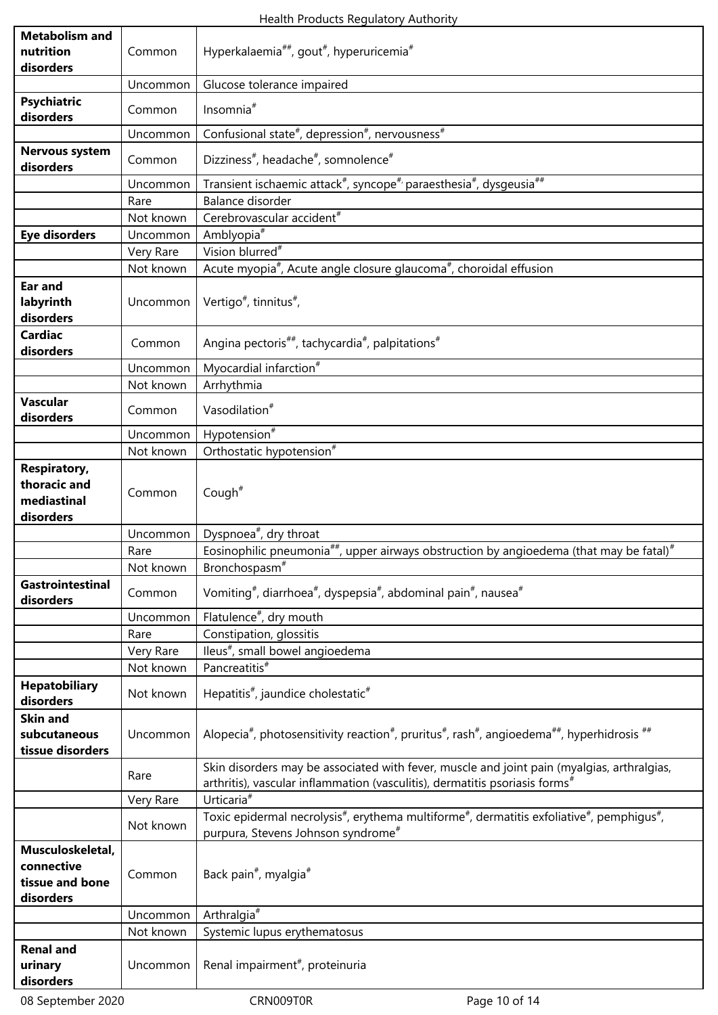| <b>Metabolism and</b><br>nutrition                              | Common    | Hyperkalaemia <sup>##</sup> , gout <sup>#</sup> , hyperuricemia <sup>#</sup>                                                                                                                  |
|-----------------------------------------------------------------|-----------|-----------------------------------------------------------------------------------------------------------------------------------------------------------------------------------------------|
| disorders                                                       | Uncommon  | Glucose tolerance impaired                                                                                                                                                                    |
| <b>Psychiatric</b>                                              |           |                                                                                                                                                                                               |
| disorders                                                       | Common    | Insomnia <sup>#</sup>                                                                                                                                                                         |
|                                                                 | Uncommon  | Confusional state#, depression#, nervousness#                                                                                                                                                 |
| Nervous system<br>disorders                                     | Common    | Dizziness <sup>#</sup> , headache <sup>#</sup> , somnolence <sup>#</sup>                                                                                                                      |
|                                                                 | Uncommon  | Transient ischaemic attack <sup>#</sup> , syncope <sup>#</sup> /paraesthesia <sup>#</sup> , dysgeusia <sup>##</sup>                                                                           |
|                                                                 | Rare      | Balance disorder                                                                                                                                                                              |
|                                                                 | Not known | Cerebrovascular accident <sup>#</sup>                                                                                                                                                         |
| <b>Eye disorders</b>                                            | Uncommon  | Amblyopia <sup>#</sup>                                                                                                                                                                        |
|                                                                 | Very Rare | Vision blurred <sup>#</sup>                                                                                                                                                                   |
|                                                                 | Not known | Acute myopia <sup>#</sup> , Acute angle closure glaucoma <sup>#</sup> , choroidal effusion                                                                                                    |
| <b>Ear and</b><br>labyrinth<br>disorders                        | Uncommon  | Vertigo <sup>#</sup> , tinnitus <sup>#</sup> ,                                                                                                                                                |
| <b>Cardiac</b><br>disorders                                     | Common    | Angina pectoris <sup>##</sup> , tachycardia <sup>#</sup> , palpitations <sup>#</sup>                                                                                                          |
|                                                                 | Uncommon  | Myocardial infarction <sup>#</sup>                                                                                                                                                            |
|                                                                 | Not known | Arrhythmia                                                                                                                                                                                    |
| <b>Vascular</b><br>disorders                                    | Common    | Vasodilation <sup>#</sup>                                                                                                                                                                     |
|                                                                 | Uncommon  | Hypotension <sup>#</sup>                                                                                                                                                                      |
|                                                                 | Not known | Orthostatic hypotension <sup>#</sup>                                                                                                                                                          |
| <b>Respiratory,</b><br>thoracic and<br>mediastinal<br>disorders | Common    | Cough $#$                                                                                                                                                                                     |
|                                                                 | Uncommon  | Dyspnoea <sup>#</sup> , dry throat                                                                                                                                                            |
|                                                                 | Rare      | Eosinophilic pneumonia <sup>##</sup> , upper airways obstruction by angioedema (that may be fatal) <sup>#</sup>                                                                               |
|                                                                 | Not known | Bronchospasm <sup>#</sup>                                                                                                                                                                     |
| Gastrointestinal<br>disorders                                   | Common    | Vomiting <sup>#</sup> , diarrhoea <sup>#</sup> , dyspepsia <sup>#</sup> , abdominal pain <sup>#</sup> , nausea <sup>#</sup>                                                                   |
|                                                                 | Uncommon  | Flatulence <sup>#</sup> , dry mouth                                                                                                                                                           |
|                                                                 | Rare      | Constipation, glossitis                                                                                                                                                                       |
|                                                                 | Very Rare | lleus <sup>#</sup> , small bowel angioedema                                                                                                                                                   |
|                                                                 | Not known | Pancreatitis <sup>#</sup>                                                                                                                                                                     |
| <b>Hepatobiliary</b><br>disorders                               | Not known | Hepatitis <sup>#</sup> , jaundice cholestatic <sup>#</sup>                                                                                                                                    |
| <b>Skin and</b>                                                 |           |                                                                                                                                                                                               |
| subcutaneous<br>tissue disorders                                | Uncommon  | Alopecia <sup>#</sup> , photosensitivity reaction <sup>#</sup> , pruritus <sup>#</sup> , rash <sup>#</sup> , angioedema <sup>##</sup> , hyperhidrosis <sup>##</sup>                           |
|                                                                 | Rare      | Skin disorders may be associated with fever, muscle and joint pain (myalgias, arthralgias,<br>arthritis), vascular inflammation (vasculitis), dermatitis psoriasis forms <sup>#</sup>         |
|                                                                 | Very Rare | Urticaria <sup>#</sup>                                                                                                                                                                        |
|                                                                 | Not known | Toxic epidermal necrolysis <sup>#</sup> , erythema multiforme <sup>#</sup> , dermatitis exfoliative <sup>#</sup> , pemphiqus <sup>#</sup> ,<br>purpura, Stevens Johnson syndrome <sup>#</sup> |
| Musculoskeletal,<br>connective<br>tissue and bone<br>disorders  | Common    | Back pain <sup>#</sup> , myalgia <sup>#</sup>                                                                                                                                                 |
|                                                                 | Uncommon  | Arthralgia <sup>#</sup>                                                                                                                                                                       |
|                                                                 | Not known | Systemic lupus erythematosus                                                                                                                                                                  |
| <b>Renal and</b><br>urinary<br>disorders                        | Uncommon  | Renal impairment <sup>#</sup> , proteinuria                                                                                                                                                   |
|                                                                 |           |                                                                                                                                                                                               |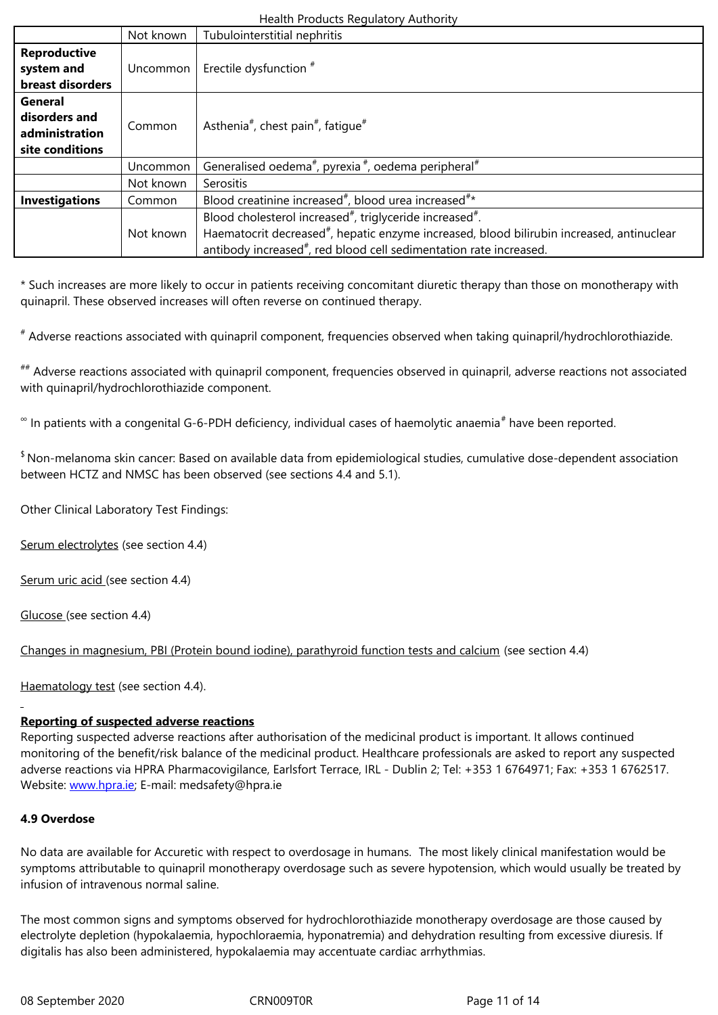| system and            |           | Uncommon   Erectile dysfunction $*$                                                                   |
|-----------------------|-----------|-------------------------------------------------------------------------------------------------------|
| breast disorders      |           |                                                                                                       |
| General               |           |                                                                                                       |
| disorders and         |           | Asthenia <sup>#</sup> , chest pain <sup>#</sup> , fatique <sup>#</sup>                                |
| administration        | Common    |                                                                                                       |
| site conditions       |           |                                                                                                       |
|                       | Uncommon  | Generalised oedema <sup>#</sup> , pyrexia <sup>#</sup> , oedema peripheral <sup>#</sup>               |
|                       | Not known | Serositis                                                                                             |
| <b>Investigations</b> | Common    | Blood creatinine increased <sup>#</sup> , blood urea increased <sup>#*</sup>                          |
|                       |           | Blood cholesterol increased <sup>#</sup> , triglyceride increased <sup>#</sup> .                      |
|                       | Not known | Haematocrit decreased <sup>#</sup> , hepatic enzyme increased, blood bilirubin increased, antinuclear |
|                       |           | antibody increased <sup>#</sup> , red blood cell sedimentation rate increased.                        |

\* Such increases are more likely to occur in patients receiving concomitant diuretic therapy than those on monotherapy with quinapril. These observed increases will often reverse on continued therapy.

# Adverse reactions associated with quinapril component, frequencies observed when taking quinapril/hydrochlorothiazide.

## Adverse reactions associated with quinapril component, frequencies observed in quinapril, adverse reactions not associated with quinapril/hydrochlorothiazide component.

 $^{\infty}$  In patients with a congenital G-6-PDH deficiency, individual cases of haemolytic anaemia $^{\#}$  have been reported.

\$ Non-melanoma skin cancer: Based on available data from epidemiological studies, cumulative dose-dependent association between HCTZ and NMSC has been observed (see sections 4.4 and 5.1).

Other Clinical Laboratory Test Findings:

Serum electrolytes (see section 4.4)

Serum uric acid (see section 4.4)

Glucose (see section 4.4)

Changes in magnesium, PBI (Protein bound iodine), parathyroid function tests and calcium (see section 4.4)

Haematology test (see section 4.4).

# **Reporting of suspected adverse reactions**

Reporting suspected adverse reactions after authorisation of the medicinal product is important. It allows continued monitoring of the benefit/risk balance of the medicinal product. Healthcare professionals are asked to report any suspected adverse reactions via HPRA Pharmacovigilance, Earlsfort Terrace, IRL - Dublin 2; Tel: +353 1 6764971; Fax: +353 1 6762517. Website: www.hpra.ie; E-mail: medsafety@hpra.ie

# **4.9 Overdose**

No data [are available](http://www.hpra.ie/) for Accuretic with respect to overdosage in humans. The most likely clinical manifestation would be symptoms attributable to quinapril monotherapy overdosage such as severe hypotension, which would usually be treated by infusion of intravenous normal saline.

The most common signs and symptoms observed for hydrochlorothiazide monotherapy overdosage are those caused by electrolyte depletion (hypokalaemia, hypochloraemia, hyponatremia) and dehydration resulting from excessive diuresis. If digitalis has also been administered, hypokalaemia may accentuate cardiac arrhythmias.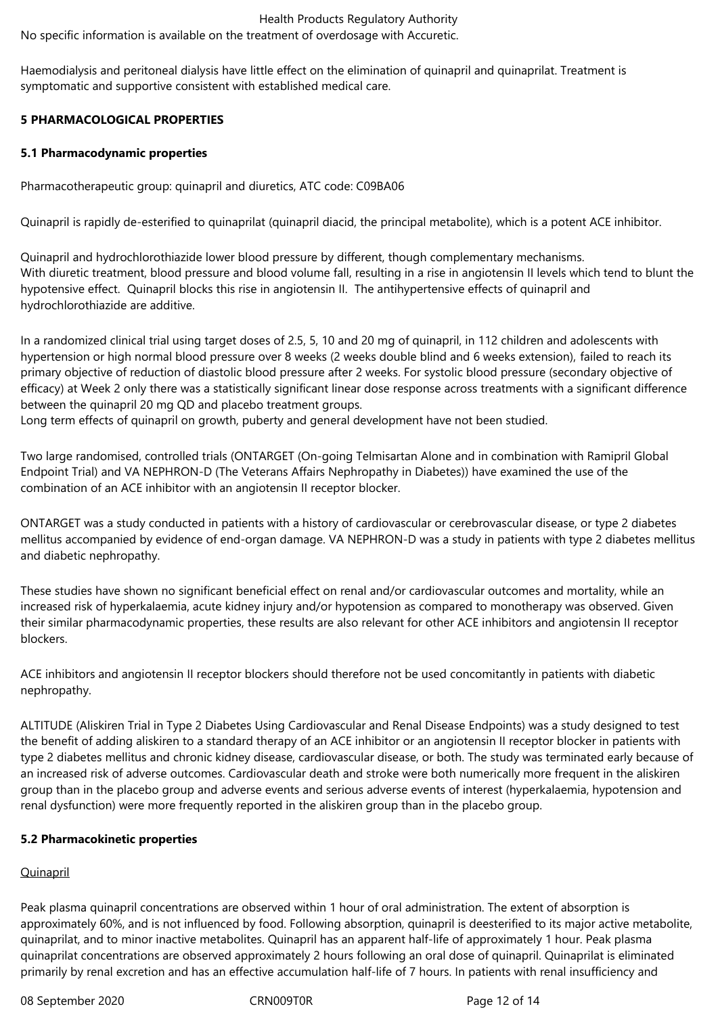No specific information is available on the treatment of overdosage with Accuretic.

Haemodialysis and peritoneal dialysis have little effect on the elimination of quinapril and quinaprilat. Treatment is symptomatic and supportive consistent with established medical care.

# **5 PHARMACOLOGICAL PROPERTIES**

#### **5.1 Pharmacodynamic properties**

Pharmacotherapeutic group: quinapril and diuretics, ATC code: C09BA06

Quinapril is rapidly de-esterified to quinaprilat (quinapril diacid, the principal metabolite), which is a potent ACE inhibitor.

Quinapril and hydrochlorothiazide lower blood pressure by different, though complementary mechanisms. With diuretic treatment, blood pressure and blood volume fall, resulting in a rise in angiotensin II levels which tend to blunt the hypotensive effect. Quinapril blocks this rise in angiotensin II. The antihypertensive effects of quinapril and hydrochlorothiazide are additive.

In a randomized clinical trial using target doses of 2.5, 5, 10 and 20 mg of quinapril, in 112 children and adolescents with hypertension or high normal blood pressure over 8 weeks (2 weeks double blind and 6 weeks extension), failed to reach its primary objective of reduction of diastolic blood pressure after 2 weeks. For systolic blood pressure (secondary objective of efficacy) at Week 2 only there was a statistically significant linear dose response across treatments with a significant difference between the quinapril 20 mg QD and placebo treatment groups.

Long term effects of quinapril on growth, puberty and general development have not been studied.

Two large randomised, controlled trials (ONTARGET (On-going Telmisartan Alone and in combination with Ramipril Global Endpoint Trial) and VA NEPHRON-D (The Veterans Affairs Nephropathy in Diabetes)) have examined the use of the combination of an ACE inhibitor with an angiotensin II receptor blocker.

ONTARGET was a study conducted in patients with a history of cardiovascular or cerebrovascular disease, or type 2 diabetes mellitus accompanied by evidence of end-organ damage. VA NEPHRON-D was a study in patients with type 2 diabetes mellitus and diabetic nephropathy.

These studies have shown no significant beneficial effect on renal and/or cardiovascular outcomes and mortality, while an increased risk of hyperkalaemia, acute kidney injury and/or hypotension as compared to monotherapy was observed. Given their similar pharmacodynamic properties, these results are also relevant for other ACE inhibitors and angiotensin II receptor blockers.

ACE inhibitors and angiotensin II receptor blockers should therefore not be used concomitantly in patients with diabetic nephropathy.

ALTITUDE (Aliskiren Trial in Type 2 Diabetes Using Cardiovascular and Renal Disease Endpoints) was a study designed to test the benefit of adding aliskiren to a standard therapy of an ACE inhibitor or an angiotensin II receptor blocker in patients with type 2 diabetes mellitus and chronic kidney disease, cardiovascular disease, or both. The study was terminated early because of an increased risk of adverse outcomes. Cardiovascular death and stroke were both numerically more frequent in the aliskiren group than in the placebo group and adverse events and serious adverse events of interest (hyperkalaemia, hypotension and renal dysfunction) were more frequently reported in the aliskiren group than in the placebo group.

#### **5.2 Pharmacokinetic properties**

# **Quinapril**

Peak plasma quinapril concentrations are observed within 1 hour of oral administration. The extent of absorption is approximately 60%, and is not influenced by food. Following absorption, quinapril is deesterified to its major active metabolite, quinaprilat, and to minor inactive metabolites. Quinapril has an apparent half-life of approximately 1 hour. Peak plasma quinaprilat concentrations are observed approximately 2 hours following an oral dose of quinapril. Quinaprilat is eliminated primarily by renal excretion and has an effective accumulation half-life of 7 hours. In patients with renal insufficiency and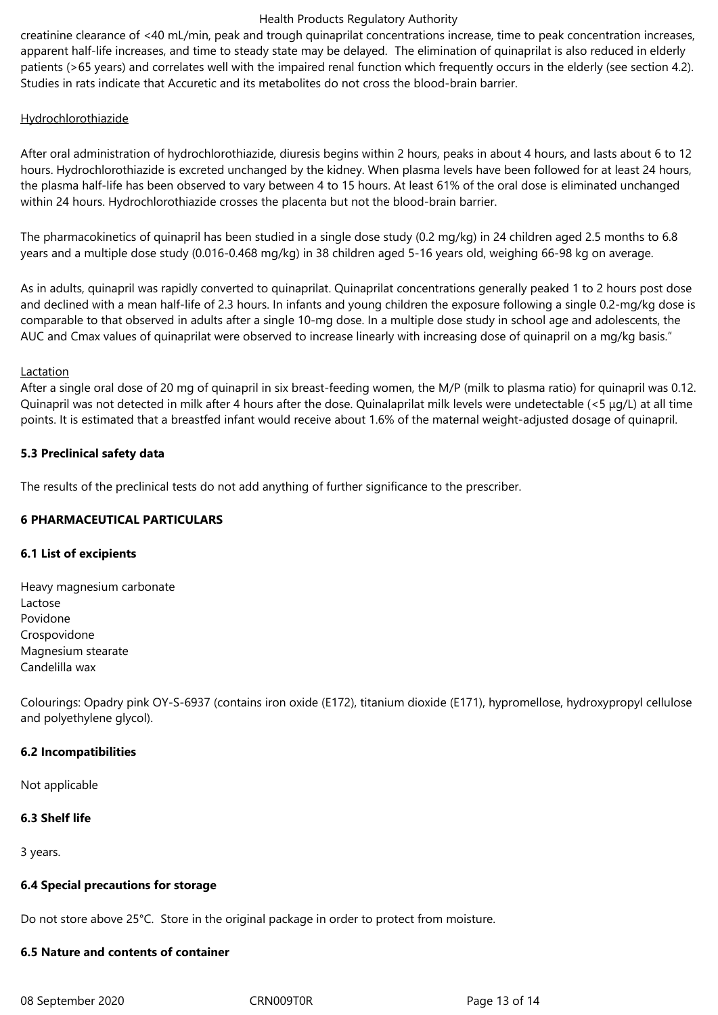creatinine clearance of <40 mL/min, peak and trough quinaprilat concentrations increase, time to peak concentration increases, apparent half-life increases, and time to steady state may be delayed. The elimination of quinaprilat is also reduced in elderly patients (>65 years) and correlates well with the impaired renal function which frequently occurs in the elderly (see section 4.2). Studies in rats indicate that Accuretic and its metabolites do not cross the blood-brain barrier.

#### **Hydrochlorothiazide**

After oral administration of hydrochlorothiazide, diuresis begins within 2 hours, peaks in about 4 hours, and lasts about 6 to 12 hours. Hydrochlorothiazide is excreted unchanged by the kidney. When plasma levels have been followed for at least 24 hours, the plasma half-life has been observed to vary between 4 to 15 hours. At least 61% of the oral dose is eliminated unchanged within 24 hours. Hydrochlorothiazide crosses the placenta but not the blood-brain barrier.

The pharmacokinetics of quinapril has been studied in a single dose study (0.2 mg/kg) in 24 children aged 2.5 months to 6.8 years and a multiple dose study (0.016-0.468 mg/kg) in 38 children aged 5-16 years old, weighing 66-98 kg on average.

As in adults, quinapril was rapidly converted to quinaprilat. Quinaprilat concentrations generally peaked 1 to 2 hours post dose and declined with a mean half-life of 2.3 hours. In infants and young children the exposure following a single 0.2-mg/kg dose is comparable to that observed in adults after a single 10-mg dose. In a multiple dose study in school age and adolescents, the AUC and Cmax values of quinaprilat were observed to increase linearly with increasing dose of quinapril on a mg/kg basis."

#### Lactation

After a single oral dose of 20 mg of quinapril in six breast-feeding women, the M/P (milk to plasma ratio) for quinapril was 0.12. Quinapril was not detected in milk after 4 hours after the dose. Quinalaprilat milk levels were undetectable (<5 μg/L) at all time points. It is estimated that a breastfed infant would receive about 1.6% of the maternal weight-adjusted dosage of quinapril.

### **5.3 Preclinical safety data**

The results of the preclinical tests do not add anything of further significance to the prescriber.

# **6 PHARMACEUTICAL PARTICULARS**

#### **6.1 List of excipients**

Heavy magnesium carbonate Lactose Povidone Crospovidone Magnesium stearate Candelilla wax

Colourings: Opadry pink OY-S-6937 (contains iron oxide (E172), titanium dioxide (E171), hypromellose, hydroxypropyl cellulose and polyethylene glycol).

# **6.2 Incompatibilities**

Not applicable

#### **6.3 Shelf life**

3 years.

#### **6.4 Special precautions for storage**

Do not store above 25°C. Store in the original package in order to protect from moisture.

#### **6.5 Nature and contents of container**

08 September 2020 CRN009TOR CRNOOSTOR Page 13 of 14